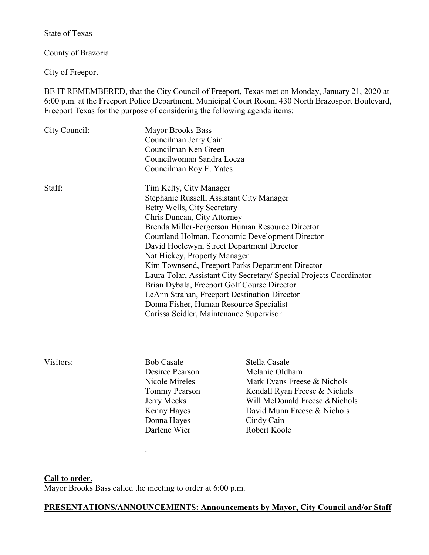State of Texas

County of Brazoria

City of Freeport

BE IT REMEMBERED, that the City Council of Freeport, Texas met on Monday, January 21, 2020 at 6:00 p.m. at the Freeport Police Department, Municipal Court Room, 430 North Brazosport Boulevard, Freeport Texas for the purpose of considering the following agenda items:

| City Council: | <b>Mayor Brooks Bass</b><br>Councilman Jerry Cain<br>Councilman Ken Green<br>Councilwoman Sandra Loeza<br>Councilman Roy E. Yates<br>Tim Kelty, City Manager<br>Stephanie Russell, Assistant City Manager<br>Betty Wells, City Secretary<br>Chris Duncan, City Attorney<br>Brenda Miller-Fergerson Human Resource Director<br>Courtland Holman, Economic Development Director<br>David Hoelewyn, Street Department Director<br>Nat Hickey, Property Manager<br>Kim Townsend, Freeport Parks Department Director<br>Laura Tolar, Assistant City Secretary/ Special Projects Coordinator<br>Brian Dybala, Freeport Golf Course Director<br>LeAnn Strahan, Freeport Destination Director<br>Donna Fisher, Human Resource Specialist<br>Carissa Seidler, Maintenance Supervisor |                                                                                                                                                                                                |
|---------------|-----------------------------------------------------------------------------------------------------------------------------------------------------------------------------------------------------------------------------------------------------------------------------------------------------------------------------------------------------------------------------------------------------------------------------------------------------------------------------------------------------------------------------------------------------------------------------------------------------------------------------------------------------------------------------------------------------------------------------------------------------------------------------|------------------------------------------------------------------------------------------------------------------------------------------------------------------------------------------------|
| Staff:        |                                                                                                                                                                                                                                                                                                                                                                                                                                                                                                                                                                                                                                                                                                                                                                             |                                                                                                                                                                                                |
| Visitors:     | <b>Bob Casale</b><br>Desiree Pearson<br>Nicole Mireles<br>Tommy Pearson<br>Jerry Meeks<br>Kenny Hayes<br>Donna Hayes<br>Darlene Wier                                                                                                                                                                                                                                                                                                                                                                                                                                                                                                                                                                                                                                        | Stella Casale<br>Melanie Oldham<br>Mark Evans Freese & Nichols<br>Kendall Ryan Freese & Nichols<br>Will McDonald Freese & Nichols<br>David Munn Freese & Nichols<br>Cindy Cain<br>Robert Koole |

#### **Call to order.**

Mayor Brooks Bass called the meeting to order at 6:00 p.m.

.

## **PRESENTATIONS/ANNOUNCEMENTS: Announcements by Mayor, City Council and/or Staff**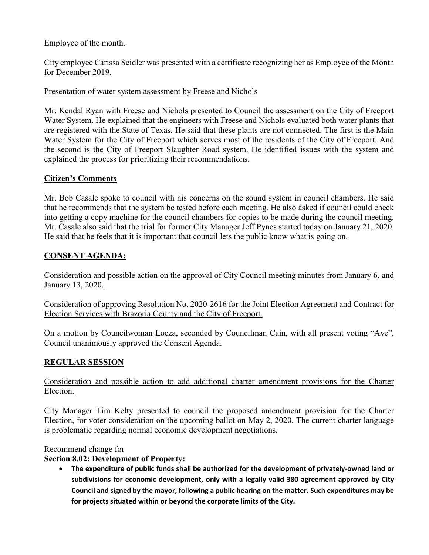## Employee of the month.

City employee Carissa Seidler was presented with a certificate recognizing her as Employee of the Month for December 2019.

### Presentation of water system assessment by Freese and Nichols

Mr. Kendal Ryan with Freese and Nichols presented to Council the assessment on the City of Freeport Water System. He explained that the engineers with Freese and Nichols evaluated both water plants that are registered with the State of Texas. He said that these plants are not connected. The first is the Main Water System for the City of Freeport which serves most of the residents of the City of Freeport. And the second is the City of Freeport Slaughter Road system. He identified issues with the system and explained the process for prioritizing their recommendations.

## **Citizen's Comments**

Mr. Bob Casale spoke to council with his concerns on the sound system in council chambers. He said that he recommends that the system be tested before each meeting. He also asked if council could check into getting a copy machine for the council chambers for copies to be made during the council meeting. Mr. Casale also said that the trial for former City Manager Jeff Pynes started today on January 21, 2020. He said that he feels that it is important that council lets the public know what is going on.

## **CONSENT AGENDA:**

Consideration and possible action on the approval of City Council meeting minutes from January 6, and January 13, 2020.

Consideration of approving Resolution No. 2020-2616 for the Joint Election Agreement and Contract for Election Services with Brazoria County and the City of Freeport.

On a motion by Councilwoman Loeza, seconded by Councilman Cain, with all present voting "Aye", Council unanimously approved the Consent Agenda.

# **REGULAR SESSION**

## Consideration and possible action to add additional charter amendment provisions for the Charter Election.

City Manager Tim Kelty presented to council the proposed amendment provision for the Charter Election, for voter consideration on the upcoming ballot on May 2, 2020. The current charter language is problematic regarding normal economic development negotiations.

Recommend change for

## **Section 8.02: Development of Property:**

• **The expenditure of public funds shall be authorized for the development of privately-owned land or subdivisions for economic development, only with a legally valid 380 agreement approved by City Council and signed by the mayor, following a public hearing on the matter. Such expenditures may be for projects situated within or beyond the corporate limits of the City.**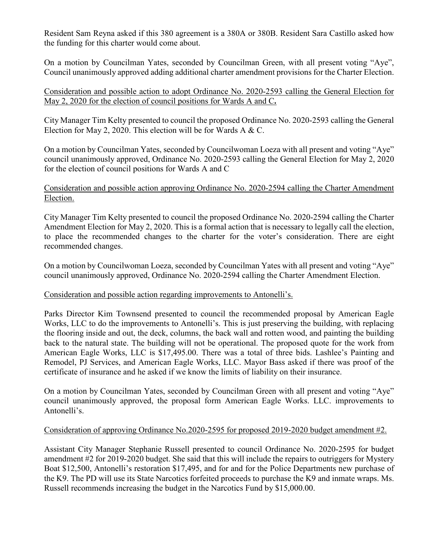Resident Sam Reyna asked if this 380 agreement is a 380A or 380B. Resident Sara Castillo asked how the funding for this charter would come about.

On a motion by Councilman Yates, seconded by Councilman Green, with all present voting "Aye", Council unanimously approved adding additional charter amendment provisions for the Charter Election.

Consideration and possible action to adopt Ordinance No. 2020-2593 calling the General Election for May 2, 2020 for the election of council positions for Wards A and C**.**

City Manager Tim Kelty presented to council the proposed Ordinance No. 2020-2593 calling the General Election for May 2, 2020. This election will be for Wards A & C.

On a motion by Councilman Yates, seconded by Councilwoman Loeza with all present and voting "Aye" council unanimously approved, Ordinance No. 2020-2593 calling the General Election for May 2, 2020 for the election of council positions for Wards A and C

Consideration and possible action approving Ordinance No. 2020-2594 calling the Charter Amendment Election.

City Manager Tim Kelty presented to council the proposed Ordinance No. 2020-2594 calling the Charter Amendment Election for May 2, 2020. This is a formal action that is necessary to legally call the election, to place the recommended changes to the charter for the voter's consideration. There are eight recommended changes.

On a motion by Councilwoman Loeza, seconded by Councilman Yates with all present and voting "Aye" council unanimously approved, Ordinance No. 2020-2594 calling the Charter Amendment Election.

### Consideration and possible action regarding improvements to Antonelli's.

Parks Director Kim Townsend presented to council the recommended proposal by American Eagle Works, LLC to do the improvements to Antonelli's. This is just preserving the building, with replacing the flooring inside and out, the deck, columns, the back wall and rotten wood, and painting the building back to the natural state. The building will not be operational. The proposed quote for the work from American Eagle Works, LLC is \$17,495.00. There was a total of three bids. Lashlee's Painting and Remodel, PJ Services, and American Eagle Works, LLC. Mayor Bass asked if there was proof of the certificate of insurance and he asked if we know the limits of liability on their insurance.

On a motion by Councilman Yates, seconded by Councilman Green with all present and voting "Aye" council unanimously approved, the proposal form American Eagle Works. LLC. improvements to Antonelli's.

### Consideration of approving Ordinance No.2020-2595 for proposed 2019-2020 budget amendment #2.

Assistant City Manager Stephanie Russell presented to council Ordinance No. 2020-2595 for budget amendment #2 for 2019-2020 budget. She said that this will include the repairs to outriggers for Mystery Boat \$12,500, Antonelli's restoration \$17,495, and for and for the Police Departments new purchase of the K9. The PD will use its State Narcotics forfeited proceeds to purchase the K9 and inmate wraps. Ms. Russell recommends increasing the budget in the Narcotics Fund by \$15,000.00.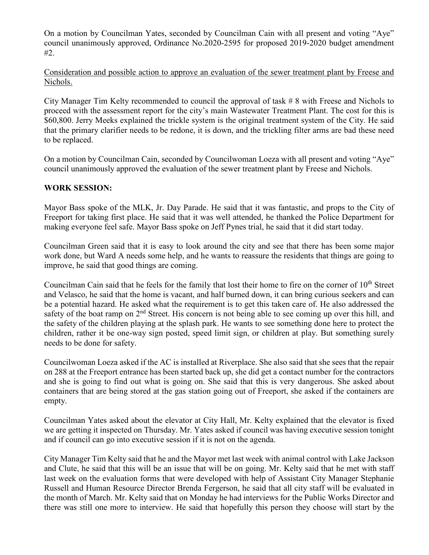On a motion by Councilman Yates, seconded by Councilman Cain with all present and voting "Aye" council unanimously approved, Ordinance No.2020-2595 for proposed 2019-2020 budget amendment #2.

Consideration and possible action to approve an evaluation of the sewer treatment plant by Freese and Nichols.

City Manager Tim Kelty recommended to council the approval of task # 8 with Freese and Nichols to proceed with the assessment report for the city's main Wastewater Treatment Plant. The cost for this is \$60,800. Jerry Meeks explained the trickle system is the original treatment system of the City. He said that the primary clarifier needs to be redone, it is down, and the trickling filter arms are bad these need to be replaced.

On a motion by Councilman Cain, seconded by Councilwoman Loeza with all present and voting "Aye" council unanimously approved the evaluation of the sewer treatment plant by Freese and Nichols.

### **WORK SESSION:**

Mayor Bass spoke of the MLK, Jr. Day Parade. He said that it was fantastic, and props to the City of Freeport for taking first place. He said that it was well attended, he thanked the Police Department for making everyone feel safe. Mayor Bass spoke on Jeff Pynes trial, he said that it did start today.

Councilman Green said that it is easy to look around the city and see that there has been some major work done, but Ward A needs some help, and he wants to reassure the residents that things are going to improve, he said that good things are coming.

Councilman Cain said that he feels for the family that lost their home to fire on the corner of 10<sup>th</sup> Street and Velasco, he said that the home is vacant, and half burned down, it can bring curious seekers and can be a potential hazard. He asked what the requirement is to get this taken care of. He also addressed the safety of the boat ramp on 2<sup>nd</sup> Street. His concern is not being able to see coming up over this hill, and the safety of the children playing at the splash park. He wants to see something done here to protect the children, rather it be one-way sign posted, speed limit sign, or children at play. But something surely needs to be done for safety.

Councilwoman Loeza asked if the AC is installed at Riverplace. She also said that she sees that the repair on 288 at the Freeport entrance has been started back up, she did get a contact number for the contractors and she is going to find out what is going on. She said that this is very dangerous. She asked about containers that are being stored at the gas station going out of Freeport, she asked if the containers are empty.

Councilman Yates asked about the elevator at City Hall, Mr. Kelty explained that the elevator is fixed we are getting it inspected on Thursday. Mr. Yates asked if council was having executive session tonight and if council can go into executive session if it is not on the agenda.

City Manager Tim Kelty said that he and the Mayor met last week with animal control with Lake Jackson and Clute, he said that this will be an issue that will be on going. Mr. Kelty said that he met with staff last week on the evaluation forms that were developed with help of Assistant City Manager Stephanie Russell and Human Resource Director Brenda Fergerson, he said that all city staff will be evaluated in the month of March. Mr. Kelty said that on Monday he had interviews for the Public Works Director and there was still one more to interview. He said that hopefully this person they choose will start by the